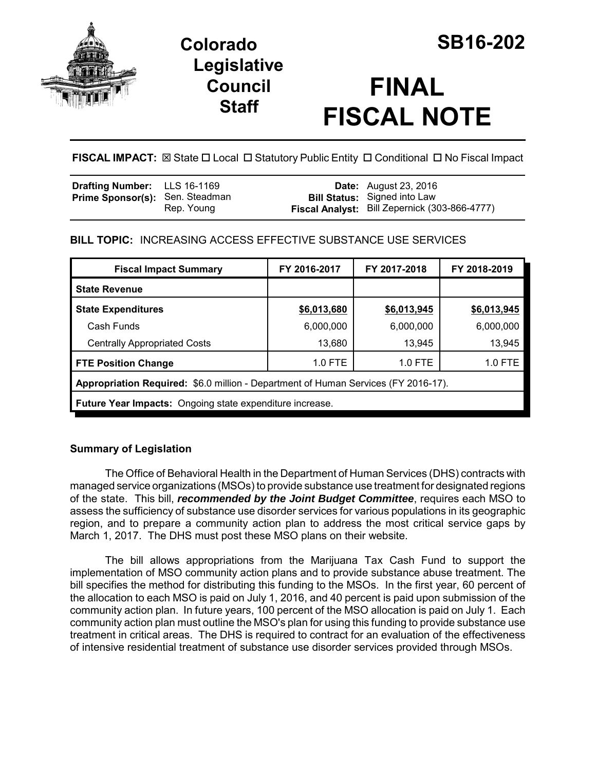

# **Colorado SB16-202 Legislative Council Staff**

# **FINAL FISCAL NOTE**

FISCAL IMPACT:  $\boxtimes$  State  $\Box$  Local  $\Box$  Statutory Public Entity  $\Box$  Conditional  $\Box$  No Fiscal Impact

| <b>Drafting Number:</b> LLS 16-1169    |            | <b>Date:</b> August 23, 2016                                                         |
|----------------------------------------|------------|--------------------------------------------------------------------------------------|
| <b>Prime Sponsor(s):</b> Sen. Steadman | Rep. Young | <b>Bill Status:</b> Signed into Law<br>Fiscal Analyst: Bill Zepernick (303-866-4777) |

## **BILL TOPIC:** INCREASING ACCESS EFFECTIVE SUBSTANCE USE SERVICES

| <b>Fiscal Impact Summary</b>                                                       | FY 2016-2017 | FY 2017-2018 | FY 2018-2019 |
|------------------------------------------------------------------------------------|--------------|--------------|--------------|
| <b>State Revenue</b>                                                               |              |              |              |
| <b>State Expenditures</b>                                                          | \$6,013,680  | \$6,013,945  | \$6,013,945  |
| Cash Funds                                                                         | 6,000,000    | 6,000,000    | 6,000,000    |
| <b>Centrally Appropriated Costs</b>                                                | 13,680       | 13,945       | 13,945       |
| <b>FTE Position Change</b>                                                         | $1.0$ FTE    | $1.0$ FTE    | 1.0 FTE      |
| Appropriation Required: \$6.0 million - Department of Human Services (FY 2016-17). |              |              |              |
| <b>Future Year Impacts:</b> Ongoing state expenditure increase.                    |              |              |              |

### **Summary of Legislation**

The Office of Behavioral Health in the Department of Human Services (DHS) contracts with managed service organizations (MSOs) to provide substance use treatment for designated regions of the state. This bill, *recommended by the Joint Budget Committee*, requires each MSO to assess the sufficiency of substance use disorder services for various populations in its geographic region, and to prepare a community action plan to address the most critical service gaps by March 1, 2017. The DHS must post these MSO plans on their website.

The bill allows appropriations from the Marijuana Tax Cash Fund to support the implementation of MSO community action plans and to provide substance abuse treatment. The bill specifies the method for distributing this funding to the MSOs. In the first year, 60 percent of the allocation to each MSO is paid on July 1, 2016, and 40 percent is paid upon submission of the community action plan. In future years, 100 percent of the MSO allocation is paid on July 1. Each community action plan must outline the MSO's plan for using this funding to provide substance use treatment in critical areas. The DHS is required to contract for an evaluation of the effectiveness of intensive residential treatment of substance use disorder services provided through MSOs.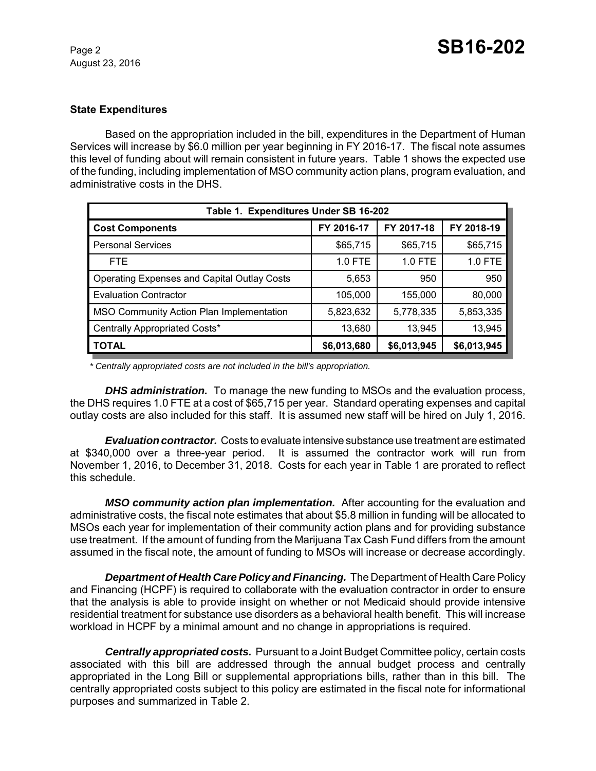August 23, 2016

#### **State Expenditures**

Based on the appropriation included in the bill, expenditures in the Department of Human Services will increase by \$6.0 million per year beginning in FY 2016-17. The fiscal note assumes this level of funding about will remain consistent in future years. Table 1 shows the expected use of the funding, including implementation of MSO community action plans, program evaluation, and administrative costs in the DHS.

| Table 1. Expenditures Under SB 16-202              |             |             |             |  |
|----------------------------------------------------|-------------|-------------|-------------|--|
| <b>Cost Components</b>                             | FY 2016-17  | FY 2017-18  | FY 2018-19  |  |
| <b>Personal Services</b>                           | \$65,715    | \$65,715    | \$65,715    |  |
| <b>FTE</b>                                         | 1.0 FTE     | 1.0 FTE     | 1.0 FTE     |  |
| <b>Operating Expenses and Capital Outlay Costs</b> | 5,653       | 950         | 950         |  |
| <b>Evaluation Contractor</b>                       | 105,000     | 155,000     | 80,000      |  |
| <b>MSO Community Action Plan Implementation</b>    | 5,823,632   | 5,778,335   | 5,853,335   |  |
| Centrally Appropriated Costs*                      | 13,680      | 13,945      | 13,945      |  |
| <b>TOTAL</b>                                       | \$6,013,680 | \$6,013,945 | \$6,013,945 |  |

 *\* Centrally appropriated costs are not included in the bill's appropriation.*

*DHS administration.* To manage the new funding to MSOs and the evaluation process, the DHS requires 1.0 FTE at a cost of \$65,715 per year. Standard operating expenses and capital outlay costs are also included for this staff. It is assumed new staff will be hired on July 1, 2016.

*Evaluation contractor.* Costs to evaluate intensive substance use treatment are estimated at \$340,000 over a three-year period. It is assumed the contractor work will run from November 1, 2016, to December 31, 2018. Costs for each year in Table 1 are prorated to reflect this schedule.

*MSO community action plan implementation.* After accounting for the evaluation and administrative costs, the fiscal note estimates that about \$5.8 million in funding will be allocated to MSOs each year for implementation of their community action plans and for providing substance use treatment. If the amount of funding from the Marijuana Tax Cash Fund differs from the amount assumed in the fiscal note, the amount of funding to MSOs will increase or decrease accordingly.

*Department of Health Care Policy and Financing.* The Department of Health Care Policy and Financing (HCPF) is required to collaborate with the evaluation contractor in order to ensure that the analysis is able to provide insight on whether or not Medicaid should provide intensive residential treatment for substance use disorders as a behavioral health benefit. This will increase workload in HCPF by a minimal amount and no change in appropriations is required.

*Centrally appropriated costs.* Pursuant to a Joint Budget Committee policy, certain costs associated with this bill are addressed through the annual budget process and centrally appropriated in the Long Bill or supplemental appropriations bills, rather than in this bill. The centrally appropriated costs subject to this policy are estimated in the fiscal note for informational purposes and summarized in Table 2.